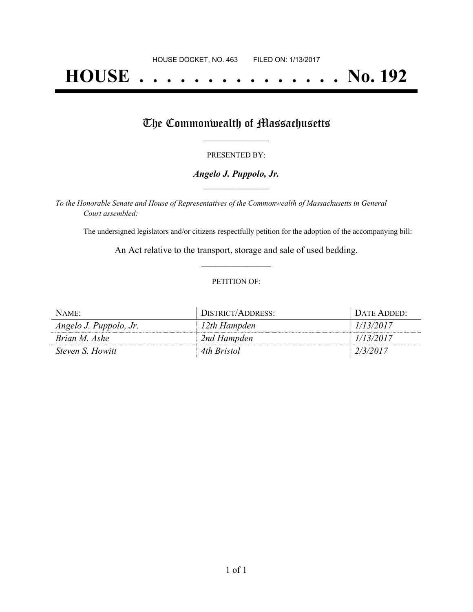# **HOUSE . . . . . . . . . . . . . . . No. 192**

## The Commonwealth of Massachusetts

#### PRESENTED BY:

#### *Angelo J. Puppolo, Jr.* **\_\_\_\_\_\_\_\_\_\_\_\_\_\_\_\_\_**

*To the Honorable Senate and House of Representatives of the Commonwealth of Massachusetts in General Court assembled:*

The undersigned legislators and/or citizens respectfully petition for the adoption of the accompanying bill:

An Act relative to the transport, storage and sale of used bedding. **\_\_\_\_\_\_\_\_\_\_\_\_\_\_\_**

#### PETITION OF:

| NAME                    | DISTRICT/ADDRESS: | DATE ADDED: |
|-------------------------|-------------------|-------------|
| Angelo J. Puppolo, Jr.  | 12th Hampden      | 1/13/2017   |
| Brian M. Ashe           | 2nd Hampden       | 1/13/2017   |
| <i>Steven S. Howitt</i> | 4th Bristol       | 2/3/2017    |